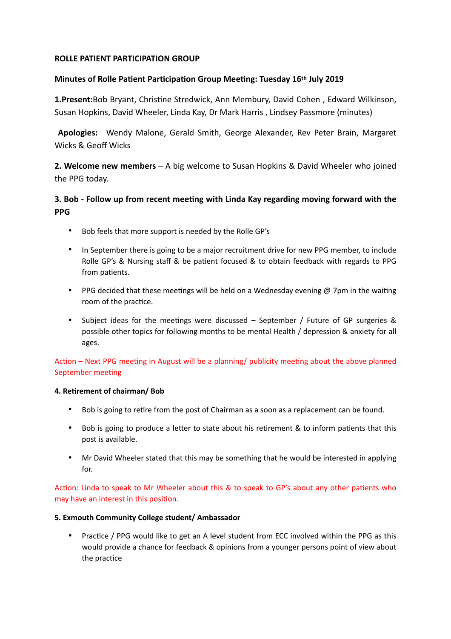## **ROLLE PATIENT PARTICIPATION GROUP**

## **Minutes of Rolle Patient Participation Group Meeting: Tuesday 16th July 2019**

**1.Present:**Bob Bryant, Christine Stredwick, Ann Membury, David Cohen, Edward Wilkinson, Susan Hopkins, David Wheeler, Linda Kay, Dr Mark Harris , Lindsey Passmore (minutes)

 **Apologies:** Wendy Malone, Gerald Smith, George Alexander, Rev Peter Brain, Margaret Wicks & Geoff Wicks

**2. Welcome new members** – A big welcome to Susan Hopkins & David Wheeler who joined the PPG today.

# **3. Bob - Follow up from recent meeting with Linda Kay regarding moving forward with the PPG**

- Bob feels that more support is needed by the Rolle GP's
- In September there is going to be a major recruitment drive for new PPG member, to include Rolle GP's & Nursing staff & be patient focused & to obtain feedback with regards to PPG from patients.
- PPG decided that these meetings will be held on a Wednesday evening  $\varnothing$  7pm in the waiting room of the practice.
- Subject ideas for the meetings were discussed September / Future of GP surgeries & possible other topics for following months to be mental Health / depression & anxiety for all ages.

Action – Next PPG meeting in August will be a planning/ publicity meeting about the above planned September meeting

#### **4. Retirement of chairman/ Bob**

- Bob is going to retire from the post of Chairman as a soon as a replacement can be found.
- Bob is going to produce a letter to state about his retirement & to inform patients that this post is available.
- Mr David Wheeler stated that this may be something that he would be interested in applying for.

Action: Linda to speak to Mr Wheeler about this  $\&$  to speak to GP's about any other patients who may have an interest in this position.

#### **5. Exmouth Community College student/ Ambassador**

Practice / PPG would like to get an A level student from ECC involved within the PPG as this would provide a chance for feedback & opinions from a younger persons point of view about the practice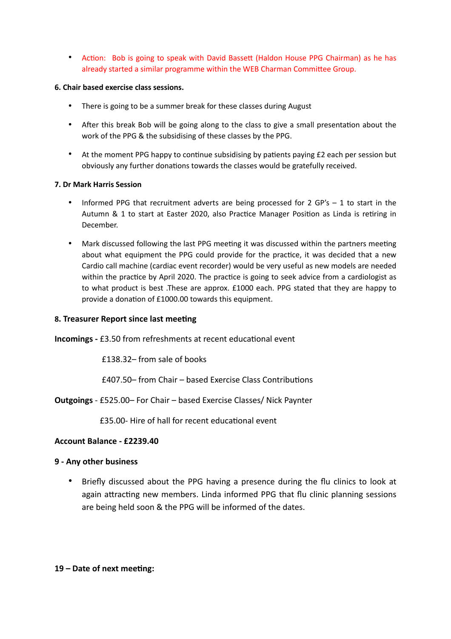• Action: Bob is going to speak with David Bassett (Haldon House PPG Chairman) as he has already started a similar programme within the WEB Charman Committee Group.

#### **6. Chair based exercise class sessions.**

- There is going to be a summer break for these classes during August
- After this break Bob will be going along to the class to give a small presentation about the work of the PPG & the subsidising of these classes by the PPG.
- At the moment PPG happy to continue subsidising by patients paying  $£2$  each per session but obviously any further donations towards the classes would be gratefully received.

### **7. Dr Mark Harris Session**

- Informed PPG that recruitment adverts are being processed for 2 GP's  $-$  1 to start in the Autumn & 1 to start at Easter 2020, also Practice Manager Position as Linda is retiring in December.
- Mark discussed following the last PPG meeting it was discussed within the partners meeting about what equipment the PPG could provide for the practice, it was decided that a new Cardio call machine (cardiac event recorder) would be very useful as new models are needed within the practice by April 2020. The practice is going to seek advice from a cardiologist as to what product is best .These are approx. £1000 each. PPG stated that they are happy to provide a donation of £1000.00 towards this equipment.

## **8. Treasurer Report since last meeting**

**Incomings - £3.50 from refreshments at recent educational event** 

£138.32– from sale of books

**£407.50–** from Chair – based Exercise Class Contributions

**Outgoings** - £525.00– For Chair – based Exercise Classes/ Nick Paynter

£35.00- Hire of hall for recent educational event

# **Account Balance - £2239.40**

#### **9 - Any other business**

• Briefly discussed about the PPG having a presence during the flu clinics to look at again attracting new members. Linda informed PPG that flu clinic planning sessions are being held soon & the PPG will be informed of the dates.

# 19 – Date of next meeting: